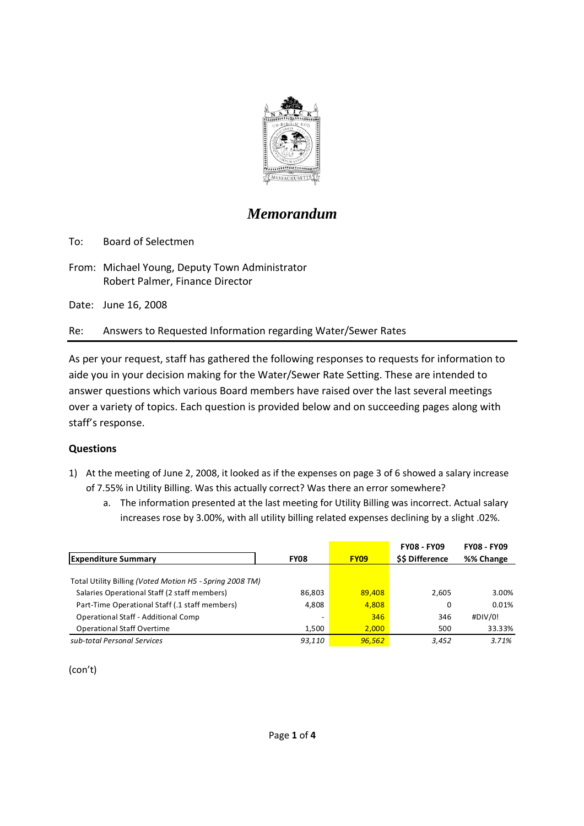

# *Memorandum*

To: Board of Selectmen

From: Michael Young, Deputy Town Administrator Robert Palmer, Finance Director

Date: June 16, 2008

Re: Answers to Requested Information regarding Water/Sewer Rates

As per your request, staff has gathered the following responses to requests for information to aide you in your decision making for the Water/Sewer Rate Setting. These are intended to answer questions which various Board members have raised over the last several meetings over a variety of topics. Each question is provided below and on succeeding pages along with staff's response.

## **Questions**

- 1) At the meeting of June 2, 2008, it looked as if the expenses on page 3 of 6 showed a salary increase of 7.55% in Utility Billing. Was this actually correct? Was there an error somewhere?
	- a. The information presented at the last meeting for Utility Billing was incorrect. Actual salary increases rose by 3.00%, with all utility billing related expenses declining by a slight .02%.

|                                                          |                          |             | <b>FY08 - FY09</b> | <b>FY08 - FY09</b> |
|----------------------------------------------------------|--------------------------|-------------|--------------------|--------------------|
| <b>Expenditure Summary</b>                               | <b>FY08</b>              | <b>FY09</b> | \$\$ Difference    | %% Change          |
|                                                          |                          |             |                    |                    |
| Total Utility Billing (Voted Motion H5 - Spring 2008 TM) |                          |             |                    |                    |
| Salaries Operational Staff (2 staff members)             | 86,803                   | 89,408      | 2,605              | 3.00%              |
| Part-Time Operational Staff (.1 staff members)           | 4.808                    | 4,808       | 0                  | 0.01%              |
| Operational Staff - Additional Comp                      | $\overline{\phantom{a}}$ | 346         | 346                | #DIV/0!            |
| <b>Operational Staff Overtime</b>                        | 1.500                    | 2.000       | 500                | 33.33%             |
| sub-total Personal Services                              | 93,110                   | 96.562      | 3,452              | 3.71%              |

(con't)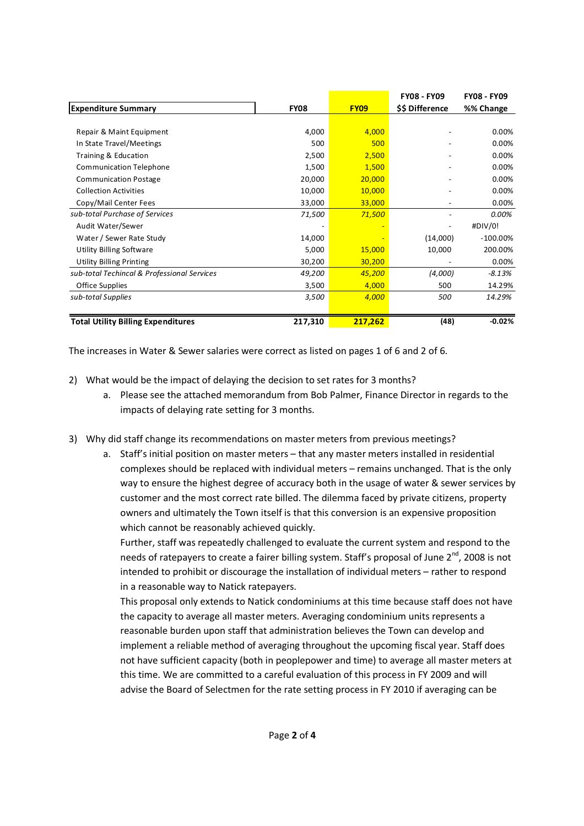|                                             |             |             | <b>FY08 - FY09</b> | <b>FY08 - FY09</b> |
|---------------------------------------------|-------------|-------------|--------------------|--------------------|
| <b>Expenditure Summary</b>                  | <b>FY08</b> | <b>FY09</b> | \$\$ Difference    | %% Change          |
|                                             |             |             |                    |                    |
| Repair & Maint Equipment                    | 4,000       | 4,000       |                    | 0.00%              |
| In State Travel/Meetings                    | 500         | 500         |                    | 0.00%              |
| Training & Education                        | 2,500       | 2,500       |                    | 0.00%              |
| <b>Communication Telephone</b>              | 1,500       | 1,500       |                    | 0.00%              |
| <b>Communication Postage</b>                | 20,000      | 20,000      |                    | 0.00%              |
| <b>Collection Activities</b>                | 10,000      | 10,000      |                    | 0.00%              |
| Copy/Mail Center Fees                       | 33,000      | 33,000      |                    | 0.00%              |
| sub-total Purchase of Services              | 71,500      | 71,500      |                    | 0.00%              |
| Audit Water/Sewer                           |             |             |                    | #DIV/0!            |
| Water / Sewer Rate Study                    | 14,000      |             | (14,000)           | $-100.00\%$        |
| <b>Utility Billing Software</b>             | 5,000       | 15,000      | 10,000             | 200.00%            |
| <b>Utility Billing Printing</b>             | 30,200      | 30,200      |                    | 0.00%              |
| sub-total Techincal & Professional Services | 49,200      | 45,200      | (4,000)            | $-8.13%$           |
| Office Supplies                             | 3,500       | 4,000       | 500                | 14.29%             |
| sub-total Supplies                          | 3,500       | 4,000       | 500                | 14.29%             |
|                                             |             |             |                    |                    |
| <b>Total Utility Billing Expenditures</b>   | 217,310     | 217,262     | (48)               | $-0.02%$           |

The increases in Water & Sewer salaries were correct as listed on pages 1 of 6 and 2 of 6.

- 2) What would be the impact of delaying the decision to set rates for 3 months?
	- a. Please see the attached memorandum from Bob Palmer, Finance Director in regards to the impacts of delaying rate setting for 3 months.
- 3) Why did staff change its recommendations on master meters from previous meetings?
	- a. Staff's initial position on master meters that any master meters installed in residential complexes should be replaced with individual meters – remains unchanged. That is the only way to ensure the highest degree of accuracy both in the usage of water & sewer services by customer and the most correct rate billed. The dilemma faced by private citizens, property owners and ultimately the Town itself is that this conversion is an expensive proposition which cannot be reasonably achieved quickly.

Further, staff was repeatedly challenged to evaluate the current system and respond to the needs of ratepayers to create a fairer billing system. Staff's proposal of June 2<sup>nd</sup>, 2008 is not intended to prohibit or discourage the installation of individual meters – rather to respond in a reasonable way to Natick ratepayers.

This proposal only extends to Natick condominiums at this time because staff does not have the capacity to average all master meters. Averaging condominium units represents a reasonable burden upon staff that administration believes the Town can develop and implement a reliable method of averaging throughout the upcoming fiscal year. Staff does not have sufficient capacity (both in peoplepower and time) to average all master meters at this time. We are committed to a careful evaluation of this process in FY 2009 and will advise the Board of Selectmen for the rate setting process in FY 2010 if averaging can be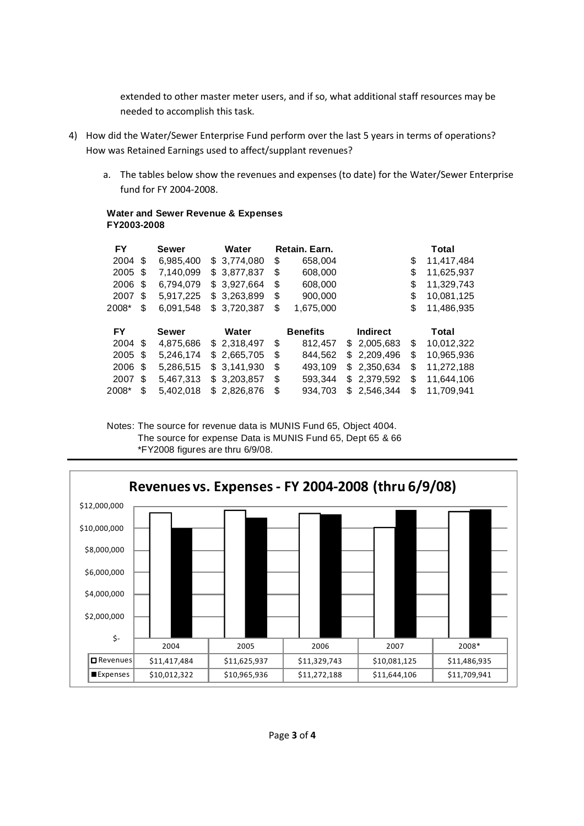extended to other master meter users, and if so, what additional staff resources may be needed to accomplish this task.

- 4) How did the Water/Sewer Enterprise Fund perform over the last 5 years in terms of operations? How was Retained Earnings used to affect/supplant revenues?
	- a. The tables below show the revenues and expenses (to date) for the Water/Sewer Enterprise fund for FY 2004-2008.

#### **Water and Sewer Revenue & Expenses FY2003-2008**

| <b>FY</b> |     | <b>Sewer</b> | Water       |    | Retain, Earn.   |     |                 | Total            |
|-----------|-----|--------------|-------------|----|-----------------|-----|-----------------|------------------|
| 2004      | \$  | 6,985,400    | \$3,774,080 | \$ | 658,004         |     |                 | \$<br>11,417,484 |
| 2005      | S   | 7,140,099    | \$3,877,837 | \$ | 608,000         |     |                 | \$<br>11,625,937 |
| 2006      | S   | 6,794,079    | \$3,927,664 | \$ | 608,000         |     |                 | \$<br>11,329,743 |
| 2007      | S   | 5,917,225    | \$3,263,899 | \$ | 900,000         |     |                 | \$<br>10,081,125 |
| 2008*     | \$  | 6,091,548    | \$3,720,387 | \$ | 1,675,000       |     |                 | \$<br>11,486,935 |
| <b>FY</b> |     | <b>Sewer</b> | Water       |    | <b>Benefits</b> |     | <b>Indirect</b> | Total            |
| 2004      | -\$ | 4,875,686    | \$2,318,497 | \$ | 812,457         |     | \$2,005,683     | \$<br>10,012,322 |
| 2005      | \$  | 5,246,174    | \$2,665,705 | \$ | 844,562         |     | \$2,209,496     | \$<br>10,965,936 |
| 2006      | S   | 5,286,515    | \$3,141,930 | \$ | 493,109         | S.  | 2,350,634       | \$<br>11,272,188 |
| 2007      | \$  | 5,467,313    | \$3,203,857 | \$ | 593,344         | \$. | 2,379,592       | \$<br>11,644,106 |
| 2008*     | \$  | 5.402.018    | \$2.826,876 | S  | 934.703         |     | \$2.546.344     | \$<br>11,709,941 |

Notes: The source for revenue data is MUNIS Fund 65, Object 4004. The source for expense Data is MUNIS Fund 65, Dept 65 & 66 \*FY2008 figures are thru 6/9/08.